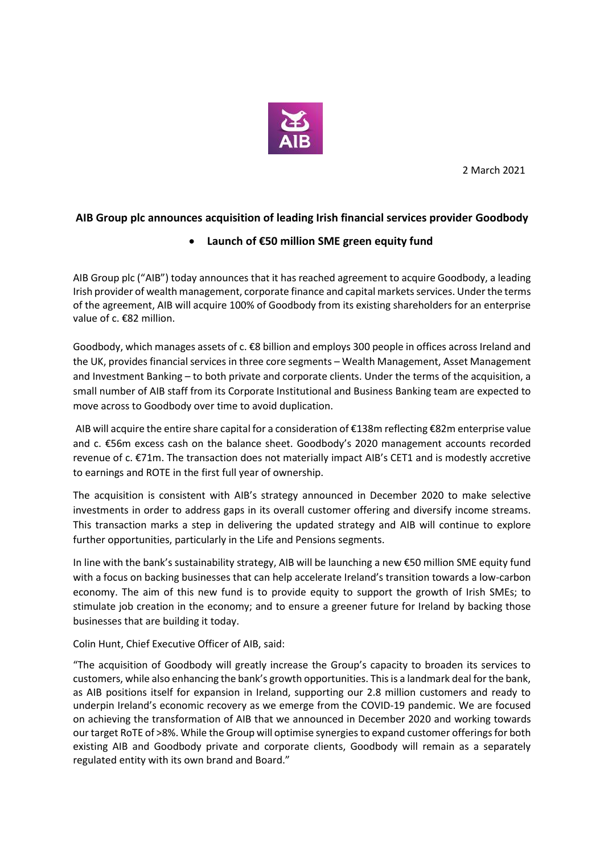

2 March 2021

## **AIB Group plc announces acquisition of leading Irish financial services provider Goodbody**

## **Launch of €50 million SME green equity fund**

AIB Group plc ("AIB") today announces that it has reached agreement to acquire Goodbody, a leading Irish provider of wealth management, corporate finance and capital markets services. Under the terms of the agreement, AIB will acquire 100% of Goodbody from its existing shareholders for an enterprise value of c. €82 million.

Goodbody, which manages assets of c. €8 billion and employs 300 people in offices across Ireland and the UK, provides financial services in three core segments – Wealth Management, Asset Management and Investment Banking – to both private and corporate clients. Under the terms of the acquisition, a small number of AIB staff from its Corporate Institutional and Business Banking team are expected to move across to Goodbody over time to avoid duplication.

AIB will acquire the entire share capital for a consideration of €138m reflecting €82m enterprise value and c. €56m excess cash on the balance sheet. Goodbody's 2020 management accounts recorded revenue of c. €71m. The transaction does not materially impact AIB's CET1 and is modestly accretive to earnings and ROTE in the first full year of ownership.

The acquisition is consistent with AIB's strategy announced in December 2020 to make selective investments in order to address gaps in its overall customer offering and diversify income streams. This transaction marks a step in delivering the updated strategy and AIB will continue to explore further opportunities, particularly in the Life and Pensions segments.

In line with the bank's sustainability strategy, AIB will be launching a new €50 million SME equity fund with a focus on backing businesses that can help accelerate Ireland's transition towards a low-carbon economy. The aim of this new fund is to provide equity to support the growth of Irish SMEs; to stimulate job creation in the economy; and to ensure a greener future for Ireland by backing those businesses that are building it today.

Colin Hunt, Chief Executive Officer of AIB, said:

"The acquisition of Goodbody will greatly increase the Group's capacity to broaden its services to customers, while also enhancing the bank's growth opportunities. This is a landmark deal for the bank, as AIB positions itself for expansion in Ireland, supporting our 2.8 million customers and ready to underpin Ireland's economic recovery as we emerge from the COVID-19 pandemic. We are focused on achieving the transformation of AIB that we announced in December 2020 and working towards our target RoTE of >8%. While the Group will optimise synergies to expand customer offerings for both existing AIB and Goodbody private and corporate clients, Goodbody will remain as a separately regulated entity with its own brand and Board."